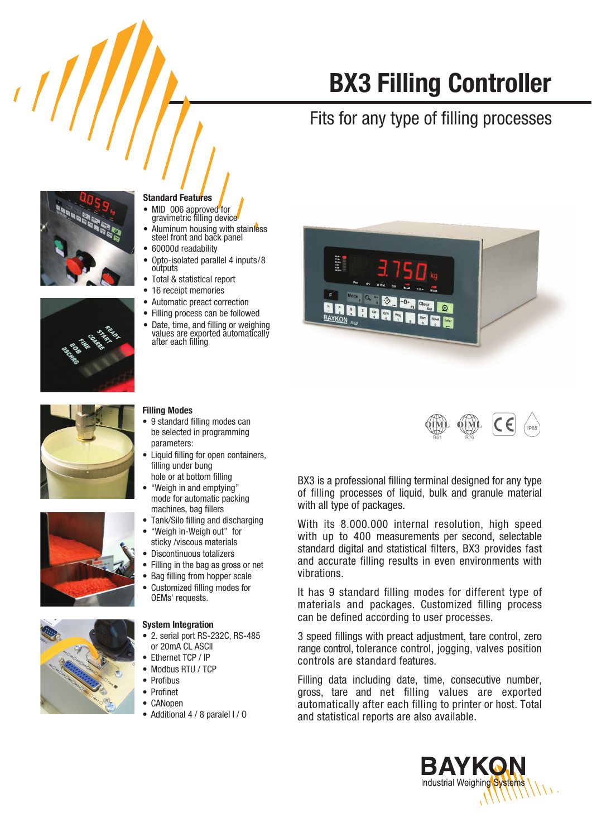# **BX3 Filling Controller**

## Fits for any type of filling processes



### **Standard Features**

- MID 006 approved for gravimetric filling device
- Aluminum housing with stainless<br>steel front and back panel
- 60000d readability
- Opto-isolated parallel 4 inputs/8 outputs
- Total & statistical report
- 16 receipt memories

**Filling Modes** 

parameters:

filling under bung hole or at bottom filling

Automatic preact correction  $\bullet$ 

• 9 standard filling modes can

"Weigh in and emptying"

machines, bag fillers

mode for automatic packing

"Weigh in-Weigh out" for

sticky /viscous materials

Customized filling modes for

• 2. serial port RS-232C, RS-485

OEMs' requests.

**System Integration** 

or 20mA CL ASCII

Modbus RTU / TCP

Ethernet TCP / IP

Profibus

Profinet CANopen

Tank/Silo filling and discharging

be selected in programming

Liquid filling for open containers.

- Filling process can be followed
- Date, time, and filling or weighing  $\bullet$ values are exported automatically after each filling







 $\bullet$  Additional 4 / 8 paralel I / 0





BX3 is a professional filling terminal designed for any type of filling processes of liquid, bulk and granule material with all type of packages.

With its 8.000.000 internal resolution, high speed with up to 400 measurements per second, selectable standard digital and statistical filters, BX3 provides fast and accurate filling results in even environments with vibrations

It has 9 standard filling modes for different type of materials and packages. Customized filling process can be defined according to user processes.

3 speed fillings with preact adjustment, tare control, zero range control, tolerance control, jogging, valves position controls are standard features.

Filling data including date, time, consecutive number, gross, tare and net filling values are exported automatically after each filling to printer or host. Total and statistical reports are also available.